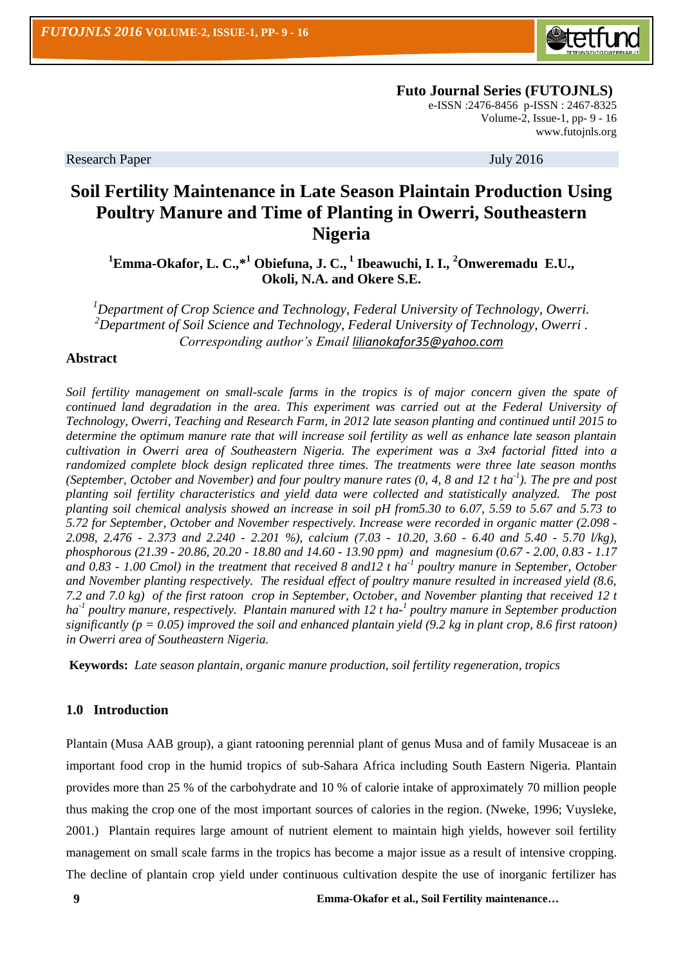

 **Futo Journal Series (FUTOJNLS)** e-ISSN :2476-8456 p-ISSN : 2467-8325 Volume-2, Issue-1, pp- 9 - 16 [www.futojnls.org](http://www.futojnls.org/)

Research Paper July 2016

# **Soil Fertility Maintenance in Late Season Plaintain Production Using Poultry Manure and Time of Planting in Owerri, Southeastern Nigeria**

**<sup>1</sup>Emma-Okafor, L. C.,\*<sup>1</sup> Obiefuna, J. C., <sup>1</sup> Ibeawuchi, I. I., <sup>2</sup>Onweremadu E.U., Okoli, N.A. and Okere S.E.**

*<sup>1</sup>Department of Crop Science and Technology, Federal University of Technology, Owerri. <sup>2</sup>Department of Soil Science and Technology, Federal University of Technology, Owerri . Corresponding author's Email [lilianokafor35@yahoo.com](mailto:lilianokafor35@yahoo.com)*

# **Abstract**

*Soil fertility management on small-scale farms in the tropics is of major concern given the spate of continued land degradation in the area. This experiment was carried out at the Federal University of Technology, Owerri, Teaching and Research Farm, in 2012 late season planting and continued until 2015 to determine the optimum manure rate that will increase soil fertility as well as enhance late season plantain cultivation in Owerri area of Southeastern Nigeria. The experiment was a 3x4 factorial fitted into a randomized complete block design replicated three times. The treatments were three late season months (September, October and November) and four poultry manure rates (0, 4, 8 and 12 t ha-1 ). The pre and post planting soil fertility characteristics and yield data were collected and statistically analyzed. The post planting soil chemical analysis showed an increase in soil pH from5.30 to 6.07, 5.59 to 5.67 and 5.73 to 5.72 for September, October and November respectively. Increase were recorded in organic matter (2.098 - 2.098, 2.476 - 2.373 and 2.240 - 2.201 %), calcium (7.03 - 10.20, 3.60 - 6.40 and 5.40 - 5.70 l/kg), phosphorous (21.39 - 20.86, 20.20 - 18.80 and 14.60 - 13.90 ppm) and magnesium (0.67 - 2.00, 0.83 - 1.17 and 0.83 - 1.00 Cmol) in the treatment that received 8 and12 t ha-1 poultry manure in September, October and November planting respectively. The residual effect of poultry manure resulted in increased yield (8.6, 7.2 and 7.0 kg) of the first ratoon crop in September, October, and November planting that received 12 t*  ha<sup>-1</sup> poultry manure, respectively. Plantain manured with 12 t ha-<sup>1</sup> poultry manure in September production *significantly (p = 0.05) improved the soil and enhanced plantain yield (9.2 kg in plant crop, 8.6 first ratoon) in Owerri area of Southeastern Nigeria.*

**Keywords:** *Late season plantain, organic manure production, soil fertility regeneration, tropics*

# **1.0 Introduction**

Plantain (Musa AAB group), a giant ratooning perennial plant of genus Musa and of family Musaceae is an important food crop in the humid tropics of sub-Sahara Africa including South Eastern Nigeria. Plantain provides more than 25 % of the carbohydrate and 10 % of calorie intake of approximately 70 million people thus making the crop one of the most important sources of calories in the region. (Nweke, 1996; Vuysleke, 2001.) Plantain requires large amount of nutrient element to maintain high yields, however soil fertility management on small scale farms in the tropics has become a major issue as a result of intensive cropping. The decline of plantain crop yield under continuous cultivation despite the use of inorganic fertilizer has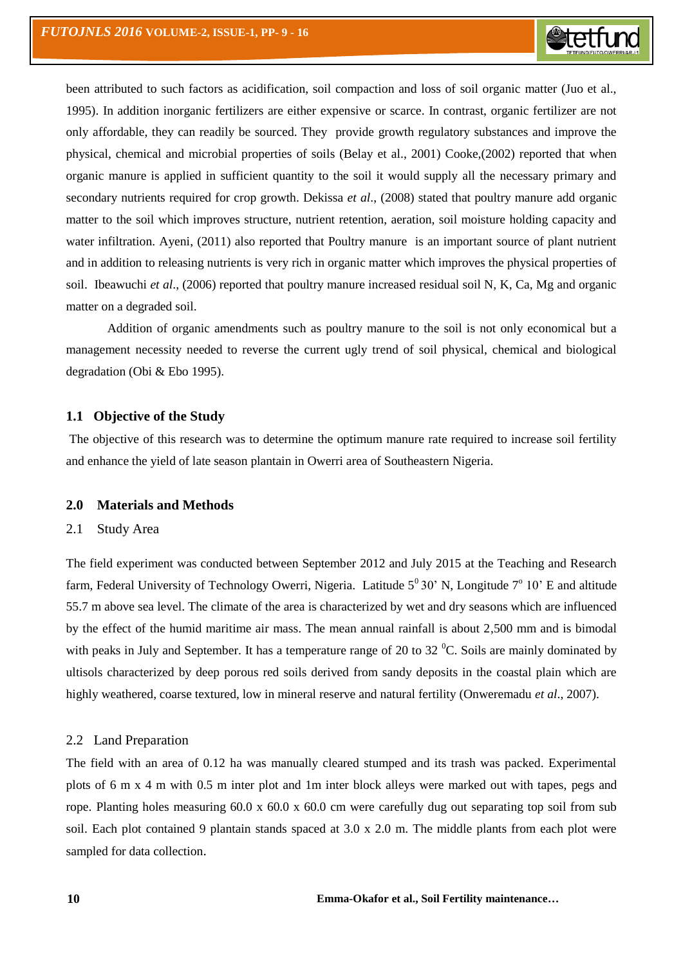been attributed to such factors as acidification, soil compaction and loss of soil organic matter (Juo et al., 1995). In addition inorganic fertilizers are either expensive or scarce. In contrast, organic fertilizer are not only affordable, they can readily be sourced. They provide growth regulatory substances and improve the physical, chemical and microbial properties of soils (Belay et al., 2001) Cooke,(2002) reported that when organic manure is applied in sufficient quantity to the soil it would supply all the necessary primary and secondary nutrients required for crop growth. Dekissa *et al*., (2008) stated that poultry manure add organic matter to the soil which improves structure, nutrient retention, aeration, soil moisture holding capacity and water infiltration. Ayeni, (2011) also reported that Poultry manure is an important source of plant nutrient and in addition to releasing nutrients is very rich in organic matter which improves the physical properties of soil. Ibeawuchi *et al*., (2006) reported that poultry manure increased residual soil N, K, Ca, Mg and organic matter on a degraded soil.

Addition of organic amendments such as poultry manure to the soil is not only economical but a management necessity needed to reverse the current ugly trend of soil physical, chemical and biological degradation (Obi & Ebo 1995).

#### **1.1 Objective of the Study**

The objective of this research was to determine the optimum manure rate required to increase soil fertility and enhance the yield of late season plantain in Owerri area of Southeastern Nigeria.

#### **2.0 Materials and Methods**

#### 2.1 Study Area

The field experiment was conducted between September 2012 and July 2015 at the Teaching and Research farm, Federal University of Technology Owerri, Nigeria. Latitude  $5^0 30'$  N, Longitude  $7^0 10'$  E and altitude 55.7 m above sea level. The climate of the area is characterized by wet and dry seasons which are influenced by the effect of the humid maritime air mass. The mean annual rainfall is about 2,500 mm and is bimodal with peaks in July and September. It has a temperature range of 20 to 32 $^{\circ}$ C. Soils are mainly dominated by ultisols characterized by deep porous red soils derived from sandy deposits in the coastal plain which are highly weathered, coarse textured, low in mineral reserve and natural fertility (Onweremadu *et al*., 2007).

#### 2.2 Land Preparation

The field with an area of 0.12 ha was manually cleared stumped and its trash was packed. Experimental plots of 6 m x 4 m with 0.5 m inter plot and 1m inter block alleys were marked out with tapes, pegs and rope. Planting holes measuring  $60.0 \times 60.0 \times 60.0$  cm were carefully dug out separating top soil from sub soil. Each plot contained 9 plantain stands spaced at 3.0 x 2.0 m. The middle plants from each plot were sampled for data collection.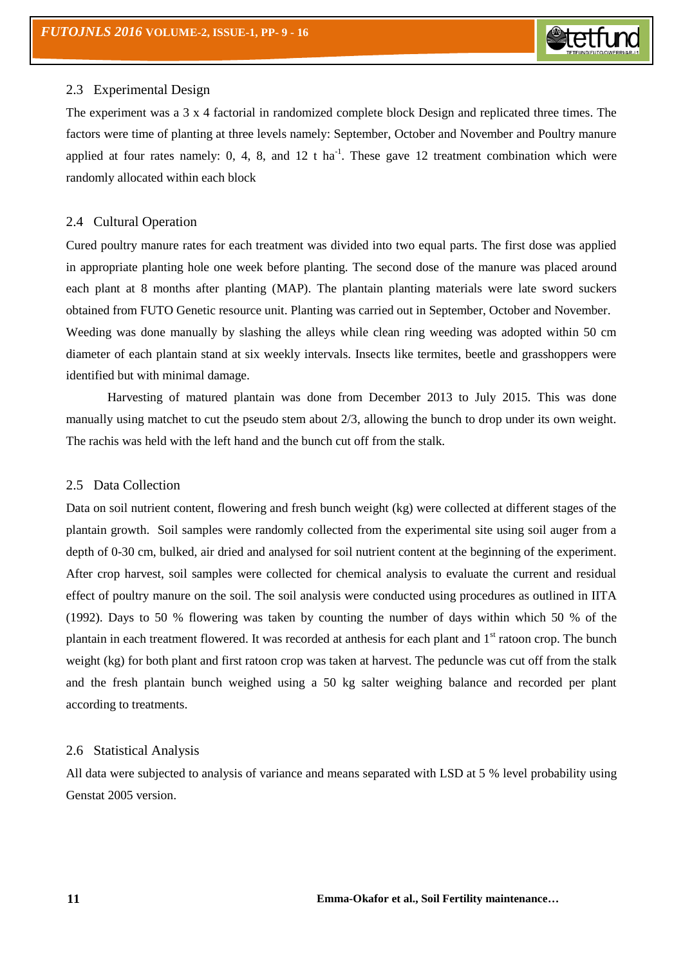# 2.3 Experimental Design

The experiment was a 3 x 4 factorial in randomized complete block Design and replicated three times. The factors were time of planting at three levels namely: September, October and November and Poultry manure applied at four rates namely: 0, 4, 8, and 12 t ha<sup>-1</sup>. These gave 12 treatment combination which were randomly allocated within each block

## 2.4 Cultural Operation

Cured poultry manure rates for each treatment was divided into two equal parts. The first dose was applied in appropriate planting hole one week before planting. The second dose of the manure was placed around each plant at 8 months after planting (MAP). The plantain planting materials were late sword suckers obtained from FUTO Genetic resource unit. Planting was carried out in September, October and November. Weeding was done manually by slashing the alleys while clean ring weeding was adopted within 50 cm diameter of each plantain stand at six weekly intervals. Insects like termites, beetle and grasshoppers were identified but with minimal damage.

Harvesting of matured plantain was done from December 2013 to July 2015. This was done manually using matchet to cut the pseudo stem about 2/3, allowing the bunch to drop under its own weight. The rachis was held with the left hand and the bunch cut off from the stalk.

### 2.5 Data Collection

Data on soil nutrient content, flowering and fresh bunch weight (kg) were collected at different stages of the plantain growth. Soil samples were randomly collected from the experimental site using soil auger from a depth of 0-30 cm, bulked, air dried and analysed for soil nutrient content at the beginning of the experiment. After crop harvest, soil samples were collected for chemical analysis to evaluate the current and residual effect of poultry manure on the soil. The soil analysis were conducted using procedures as outlined in IITA (1992). Days to 50 % flowering was taken by counting the number of days within which 50 % of the plantain in each treatment flowered. It was recorded at anthesis for each plant and  $1<sup>st</sup>$  ratoon crop. The bunch weight (kg) for both plant and first ratoon crop was taken at harvest. The peduncle was cut off from the stalk and the fresh plantain bunch weighed using a 50 kg salter weighing balance and recorded per plant according to treatments.

#### 2.6 Statistical Analysis

All data were subjected to analysis of variance and means separated with LSD at 5 % level probability using Genstat 2005 version.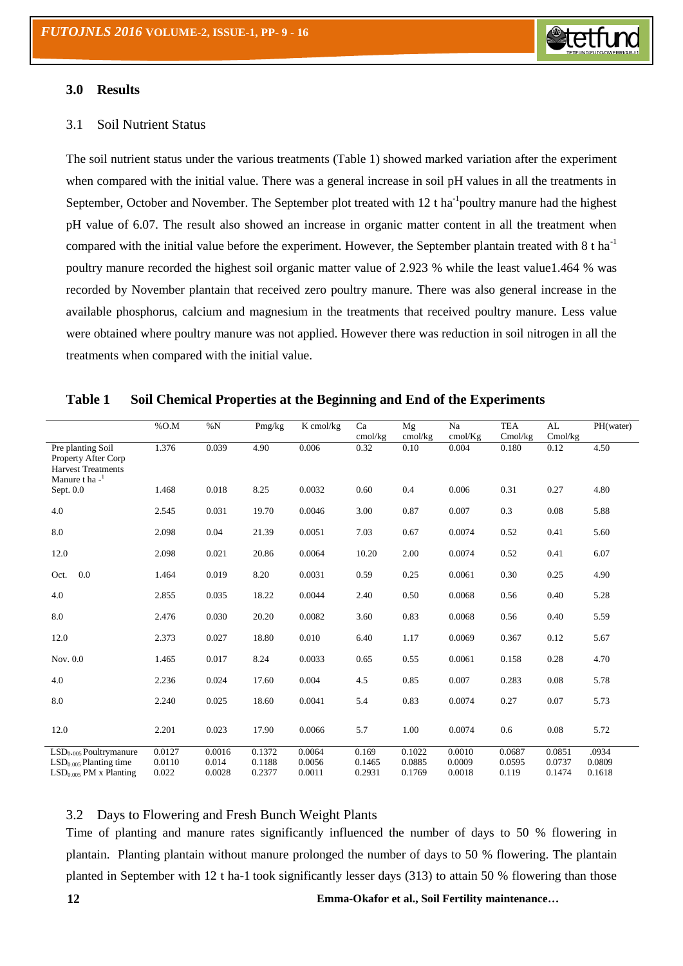

#### **3.0 Results**

## 3.1Soil Nutrient Status

The soil nutrient status under the various treatments (Table 1) showed marked variation after the experiment when compared with the initial value. There was a general increase in soil pH values in all the treatments in September, October and November. The September plot treated with 12 t ha<sup>-1</sup>poultry manure had the highest pH value of 6.07. The result also showed an increase in organic matter content in all the treatment when compared with the initial value before the experiment. However, the September plantain treated with  $8 \text{ t} \text{ ha}^{-1}$ poultry manure recorded the highest soil organic matter value of 2.923 % while the least value1.464 % was recorded by November plantain that received zero poultry manure. There was also general increase in the available phosphorus, calcium and magnesium in the treatments that received poultry manure. Less value were obtained where poultry manure was not applied. However there was reduction in soil nitrogen in all the treatments when compared with the initial value.

|                                                                                            | $%$ O.M                   | $\%N$                     | Pmg/kg                     | K cmol/kg                  | Ca<br>cmol/kg             | Mg<br>cmol/kg              | Na<br>cmol/Kg              | <b>TEA</b><br>Cmol/kg     | AL<br>Cmol/kg              | PH(water)                 |
|--------------------------------------------------------------------------------------------|---------------------------|---------------------------|----------------------------|----------------------------|---------------------------|----------------------------|----------------------------|---------------------------|----------------------------|---------------------------|
| Pre planting Soil<br>Property After Corp<br><b>Harvest Treatments</b><br>Manure t ha $-1$  | 1.376                     | 0.039                     | 4.90                       | 0.006                      | 0.32                      | 0.10                       | 0.004                      | 0.180                     | 0.12                       | 4.50                      |
| Sept. $0.0$                                                                                | 1.468                     | 0.018                     | 8.25                       | 0.0032                     | 0.60                      | 0.4                        | 0.006                      | 0.31                      | 0.27                       | 4.80                      |
| 4.0                                                                                        | 2.545                     | 0.031                     | 19.70                      | 0.0046                     | 3.00                      | 0.87<br>0.007              |                            | 0.3                       | 0.08                       | 5.88                      |
| 8.0                                                                                        | 2.098                     | 0.04                      | 21.39                      | 0.0051                     | 7.03                      | 0.67                       | 0.0074                     | 0.52                      | 0.41                       | 5.60                      |
| 12.0                                                                                       | 2.098                     | 0.021                     | 20.86                      | 0.0064                     | 10.20                     | 2.00                       | 0.0074                     | 0.52                      | 0.41                       | 6.07                      |
| 0.0<br>Oct.                                                                                | 1.464                     | 0.019                     | 8.20                       | 0.0031                     | 0.59                      | 0.25                       | 0.0061                     | 0.30                      | 0.25                       | 4.90                      |
| 4.0                                                                                        | 2.855                     | 0.035                     | 18.22                      | 0.0044                     | 2.40                      | 0.50                       | 0.0068                     | 0.56                      | 0.40                       | 5.28                      |
| 8.0                                                                                        | 2.476                     | 0.030                     | 20.20                      | 0.0082                     | 3.60                      | 0.83                       | 0.0068                     | 0.56                      | 0.40                       | 5.59                      |
| 12.0                                                                                       | 2.373                     | 0.027                     | 18.80                      | 0.010                      | 6.40                      | 1.17                       | 0.0069                     | 0.367                     | 0.12                       | 5.67                      |
| Nov. 0.0                                                                                   | 1.465                     | 0.017                     | 8.24                       | 0.0033                     | 0.65                      | 0.55                       | 0.0061                     | 0.158                     | 0.28                       | 4.70                      |
| 4.0                                                                                        | 2.236                     | 0.024                     | 17.60                      | 0.004                      | 4.5                       | 0.85                       | 0.007                      | 0.283                     | 0.08                       | 5.78                      |
| 8.0                                                                                        | 2.240                     | 0.025                     | 18.60                      | 0.0041                     | 5.4                       | 0.83                       | 0.0074                     | 0.27                      | 0.07                       | 5.73                      |
| 12.0                                                                                       | 2.201                     | 0.023                     | 17.90                      | 0.0066                     | 5.7                       | 1.00                       | 0.0074                     | 0.6                       | 0.08                       | 5.72                      |
| $LSD0.005$ Poultrymanure<br>$LSD0.005$ Planting time<br>LSD <sub>0.005</sub> PM x Planting | 0.0127<br>0.0110<br>0.022 | 0.0016<br>0.014<br>0.0028 | 0.1372<br>0.1188<br>0.2377 | 0.0064<br>0.0056<br>0.0011 | 0.169<br>0.1465<br>0.2931 | 0.1022<br>0.0885<br>0.1769 | 0.0010<br>0.0009<br>0.0018 | 0.0687<br>0.0595<br>0.119 | 0.0851<br>0.0737<br>0.1474 | .0934<br>0.0809<br>0.1618 |

#### **Table 1 Soil Chemical Properties at the Beginning and End of the Experiments**

# 3.2 Days to Flowering and Fresh Bunch Weight Plants

Time of planting and manure rates significantly influenced the number of days to 50 % flowering in plantain. Planting plantain without manure prolonged the number of days to 50 % flowering. The plantain planted in September with 12 t ha-1 took significantly lesser days (313) to attain 50 % flowering than those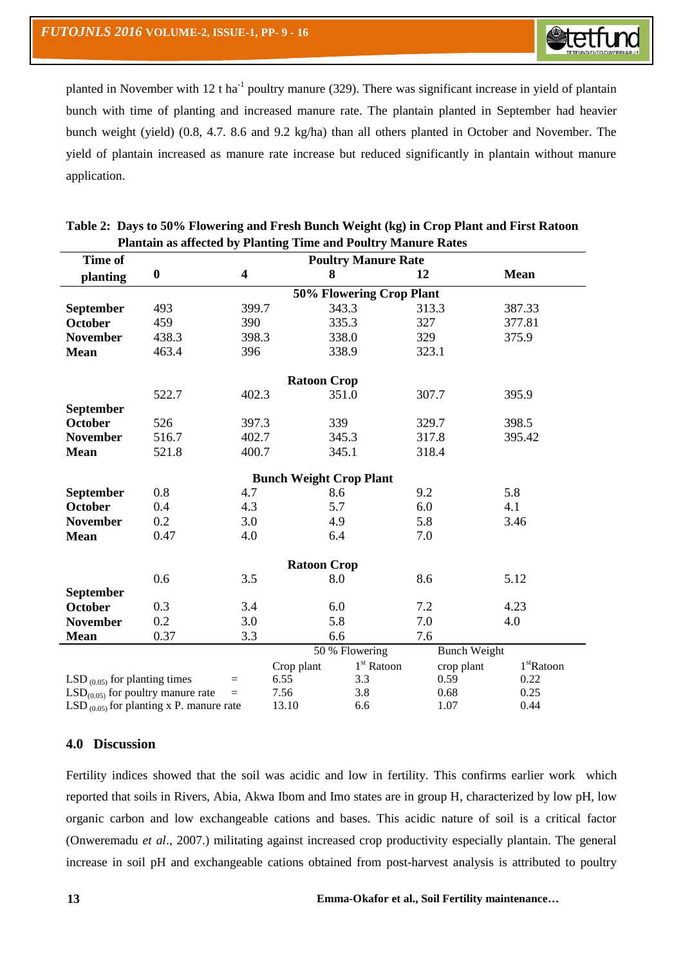

planted in November with 12 t ha<sup>-1</sup> poultry manure (329). There was significant increase in yield of plantain bunch with time of planting and increased manure rate. The plantain planted in September had heavier bunch weight (yield) (0.8, 4.7. 8.6 and 9.2 kg/ha) than all others planted in October and November. The yield of plantain increased as manure rate increase but reduced significantly in plantain without manure application.

| Time of                                       | <b>Poultry Manure Rate</b> |                         |            |       |                     |       |            |                        |  |  |  |
|-----------------------------------------------|----------------------------|-------------------------|------------|-------|---------------------|-------|------------|------------------------|--|--|--|
| planting                                      | $\boldsymbol{0}$           | $\overline{\mathbf{4}}$ |            | 8     |                     | 12    |            | <b>Mean</b>            |  |  |  |
|                                               | 50% Flowering Crop Plant   |                         |            |       |                     |       |            |                        |  |  |  |
| <b>September</b>                              | 493                        | 399.7                   |            | 343.3 |                     | 313.3 |            | 387.33                 |  |  |  |
| <b>October</b>                                | 459                        | 390                     |            | 335.3 |                     | 327   |            | 377.81                 |  |  |  |
| <b>November</b>                               | 438.3                      | 398.3                   |            | 338.0 |                     | 329   |            | 375.9                  |  |  |  |
| <b>Mean</b>                                   | 463.4                      | 396                     |            | 338.9 |                     | 323.1 |            |                        |  |  |  |
| <b>Ratoon Crop</b>                            |                            |                         |            |       |                     |       |            |                        |  |  |  |
|                                               | 522.7                      | 402.3                   |            | 351.0 |                     | 307.7 |            | 395.9                  |  |  |  |
| September                                     |                            |                         |            |       |                     |       |            |                        |  |  |  |
| <b>October</b>                                | 526                        | 397.3                   |            | 339   |                     | 329.7 |            | 398.5                  |  |  |  |
| <b>November</b>                               | 516.7                      | 402.7                   |            | 345.3 |                     | 317.8 |            | 395.42                 |  |  |  |
| <b>Mean</b>                                   | 521.8                      | 400.7                   |            | 345.1 |                     | 318.4 |            |                        |  |  |  |
|                                               |                            |                         |            |       |                     |       |            |                        |  |  |  |
| <b>Bunch Weight Crop Plant</b>                |                            |                         |            |       |                     |       |            |                        |  |  |  |
| September                                     | 0.8                        | 4.7                     |            | 8.6   |                     | 9.2   |            | 5.8                    |  |  |  |
| <b>October</b>                                | 0.4                        | 4.3                     |            | 5.7   |                     | 6.0   |            | 4.1                    |  |  |  |
| <b>November</b>                               | 0.2                        | 3.0                     |            | 4.9   |                     | 5.8   |            | 3.46                   |  |  |  |
| <b>Mean</b>                                   | 0.47                       | 4.0                     |            | 6.4   |                     | 7.0   |            |                        |  |  |  |
| <b>Ratoon Crop</b>                            |                            |                         |            |       |                     |       |            |                        |  |  |  |
|                                               | 0.6                        | 3.5                     |            | 8.0   |                     | 8.6   |            | 5.12                   |  |  |  |
| <b>September</b>                              |                            |                         |            |       |                     |       |            |                        |  |  |  |
| <b>October</b>                                | 0.3                        | 3.4                     |            | 6.0   |                     | 7.2   |            | 4.23                   |  |  |  |
| <b>November</b>                               | 0.2                        | 3.0                     |            | 5.8   |                     | 7.0   |            | 4.0                    |  |  |  |
| <b>Mean</b>                                   | 0.37                       | 3.3                     |            | 6.6   |                     | 7.6   |            |                        |  |  |  |
|                                               |                            | 50 % Flowering          |            |       | <b>Bunch Weight</b> |       |            |                        |  |  |  |
|                                               |                            |                         | Crop plant |       | $1st$ Ratoon        |       | crop plant | 1 <sup>st</sup> Ratoon |  |  |  |
| LSD $_{(0.05)}$ for planting times<br>$=$     |                            |                         | 6.55       |       | 3.3                 |       | 0.59       | 0.22                   |  |  |  |
| $LSD(0.05)$ for poultry manure rate<br>$=$    |                            |                         | 7.56       |       | 3.8                 |       | 0.68       | 0.25                   |  |  |  |
| LSD $_{(0.05)}$ for planting x P. manure rate | 13.10                      |                         | 6.6        |       | 1.07                | 0.44  |            |                        |  |  |  |

# **Table 2: Days to 50% Flowering and Fresh Bunch Weight (kg) in Crop Plant and First Ratoon Plantain as affected by Planting Time and Poultry Manure Rates**

# **4.0 Discussion**

Fertility indices showed that the soil was acidic and low in fertility. This confirms earlier work which reported that soils in Rivers, Abia, Akwa Ibom and Imo states are in group H, characterized by low pH, low organic carbon and low exchangeable cations and bases. This acidic nature of soil is a critical factor (Onweremadu *et al*., 2007.) militating against increased crop productivity especially plantain. The general increase in soil pH and exchangeable cations obtained from post-harvest analysis is attributed to poultry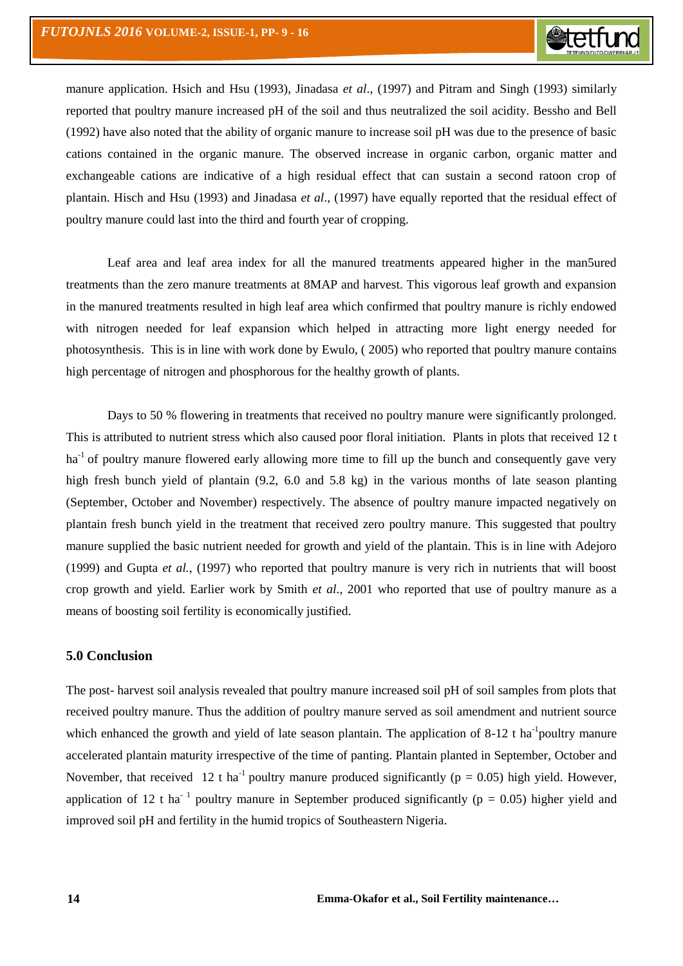manure application. Hsich and Hsu (1993), Jinadasa *et al*., (1997) and Pitram and Singh (1993) similarly reported that poultry manure increased pH of the soil and thus neutralized the soil acidity. Bessho and Bell (1992) have also noted that the ability of organic manure to increase soil pH was due to the presence of basic cations contained in the organic manure. The observed increase in organic carbon, organic matter and exchangeable cations are indicative of a high residual effect that can sustain a second ratoon crop of plantain. Hisch and Hsu (1993) and Jinadasa *et al*., (1997) have equally reported that the residual effect of poultry manure could last into the third and fourth year of cropping.

Leaf area and leaf area index for all the manured treatments appeared higher in the man5ured treatments than the zero manure treatments at 8MAP and harvest. This vigorous leaf growth and expansion in the manured treatments resulted in high leaf area which confirmed that poultry manure is richly endowed with nitrogen needed for leaf expansion which helped in attracting more light energy needed for photosynthesis. This is in line with work done by Ewulo, ( 2005) who reported that poultry manure contains high percentage of nitrogen and phosphorous for the healthy growth of plants.

Days to 50 % flowering in treatments that received no poultry manure were significantly prolonged. This is attributed to nutrient stress which also caused poor floral initiation. Plants in plots that received 12 t ha<sup>-1</sup> of poultry manure flowered early allowing more time to fill up the bunch and consequently gave very high fresh bunch yield of plantain (9.2, 6.0 and 5.8 kg) in the various months of late season planting (September, October and November) respectively. The absence of poultry manure impacted negatively on plantain fresh bunch yield in the treatment that received zero poultry manure. This suggested that poultry manure supplied the basic nutrient needed for growth and yield of the plantain. This is in line with Adejoro (1999) and Gupta *et al.*, (1997) who reported that poultry manure is very rich in nutrients that will boost crop growth and yield. Earlier work by Smith *et al.,* 2001 who reported that use of poultry manure as a means of boosting soil fertility is economically justified.

#### **5.0 Conclusion**

The post- harvest soil analysis revealed that poultry manure increased soil pH of soil samples from plots that received poultry manure. Thus the addition of poultry manure served as soil amendment and nutrient source which enhanced the growth and yield of late season plantain. The application of  $8-12$  t ha<sup>-1</sup>poultry manure accelerated plantain maturity irrespective of the time of panting. Plantain planted in September, October and November, that received 12 t ha<sup>-1</sup> poultry manure produced significantly ( $p = 0.05$ ) high yield. However, application of 12 t ha<sup>-1</sup> poultry manure in September produced significantly ( $p = 0.05$ ) higher yield and improved soil pH and fertility in the humid tropics of Southeastern Nigeria.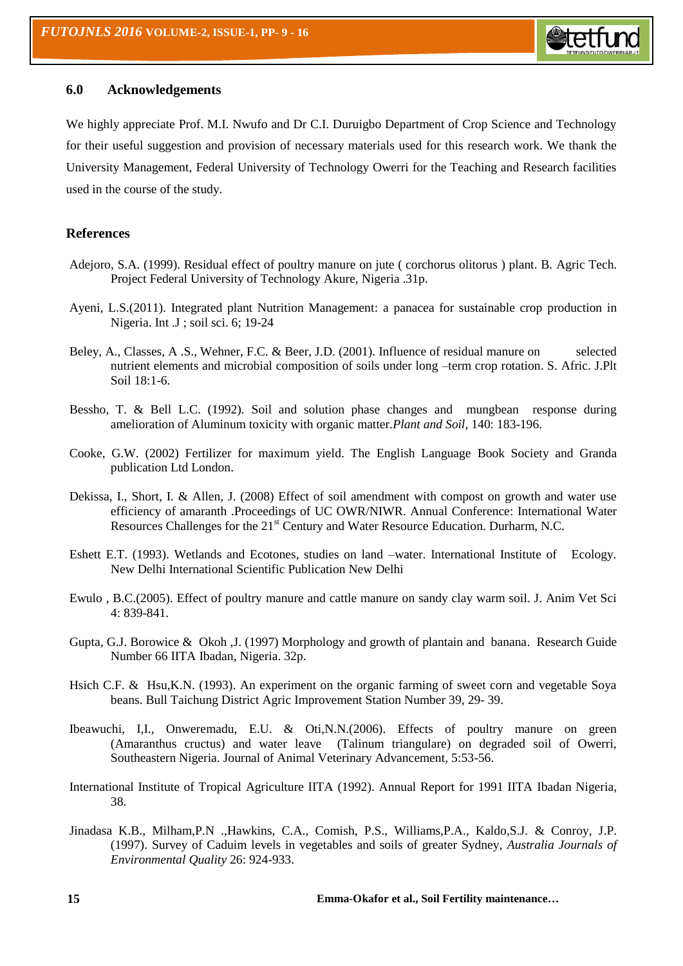

#### **6.0 Acknowledgements**

We highly appreciate Prof. M.I. Nwufo and Dr C.I. Duruigbo Department of Crop Science and Technology for their useful suggestion and provision of necessary materials used for this research work. We thank the University Management, Federal University of Technology Owerri for the Teaching and Research facilities used in the course of the study.

## **References**

- Adejoro, S.A. (1999). Residual effect of poultry manure on jute ( corchorus olitorus ) plant. B. Agric Tech. Project Federal University of Technology Akure, Nigeria .31p.
- Ayeni, L.S.(2011). Integrated plant Nutrition Management: a panacea for sustainable crop production in Nigeria. Int .J ; soil sci. 6; 19-24
- Beley, A., Classes, A .S., Wehner, F.C. & Beer, J.D. (2001). Influence of residual manure on selected nutrient elements and microbial composition of soils under long –term crop rotation. S. Afric. J.Plt Soil 18:1-6.
- Bessho, T. & Bell L.C. (1992). Soil and solution phase changes and mungbean response during amelioration of Aluminum toxicity with organic matter.*Plant and Soil*, 140: 183-196.
- Cooke, G.W. (2002) Fertilizer for maximum yield. The English Language Book Society and Granda publication Ltd London.
- Dekissa, I., Short, I. & Allen, J. (2008) Effect of soil amendment with compost on growth and water use efficiency of amaranth .Proceedings of UC OWR/NIWR. Annual Conference: International Water Resources Challenges for the 21<sup>st</sup> Century and Water Resource Education. Durharm, N.C.
- Eshett E.T. (1993). Wetlands and Ecotones, studies on land –water. International Institute of Ecology. New Delhi International Scientific Publication New Delhi
- Ewulo , B.C.(2005). Effect of poultry manure and cattle manure on sandy clay warm soil. J. Anim Vet Sci 4: 839-841.
- Gupta, G.J. Borowice & Okoh ,J. (1997) Morphology and growth of plantain and banana. Research Guide Number 66 IITA Ibadan, Nigeria. 32p.
- Hsich C.F. & Hsu,K.N. (1993). An experiment on the organic farming of sweet corn and vegetable Soya beans. Bull Taichung District Agric Improvement Station Number 39, 29- 39.
- Ibeawuchi, I,I., Onweremadu, E.U. & Oti,N.N.(2006). Effects of poultry manure on green (Amaranthus cructus) and water leave (Talinum triangulare) on degraded soil of Owerri, Southeastern Nigeria. Journal of Animal Veterinary Advancement, 5:53-56.
- International Institute of Tropical Agriculture IITA (1992). Annual Report for 1991 IITA Ibadan Nigeria, 38.
- Jinadasa K.B., Milham,P.N .,Hawkins, C.A., Comish, P.S., Williams,P.A., Kaldo,S.J. & Conroy, J.P. (1997). Survey of Caduim levels in vegetables and soils of greater Sydney, *Australia Journals of Environmental Quality* 26: 924-933.